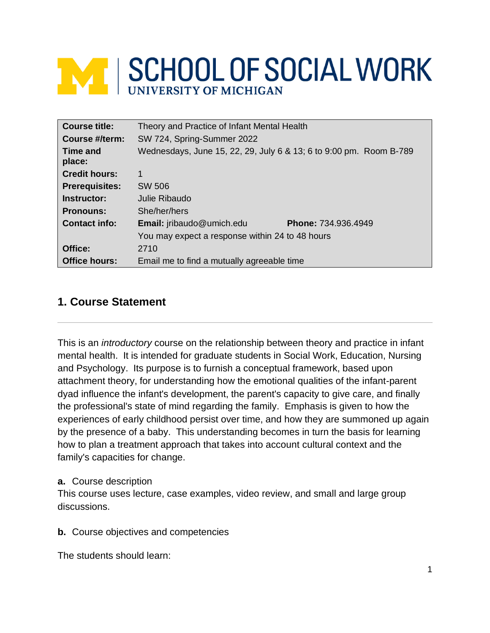# **MINISCHOOL OF SOCIAL WORK**

| Course title:         | Theory and Practice of Infant Mental Health                        |  |
|-----------------------|--------------------------------------------------------------------|--|
| Course #/term:        | SW 724, Spring-Summer 2022                                         |  |
| Time and<br>place:    | Wednesdays, June 15, 22, 29, July 6 & 13; 6 to 9:00 pm. Room B-789 |  |
| <b>Credit hours:</b>  | 1                                                                  |  |
| <b>Prerequisites:</b> | SW 506                                                             |  |
| Instructor:           | Julie Ribaudo                                                      |  |
| <b>Pronouns:</b>      | She/her/hers                                                       |  |
| <b>Contact info:</b>  | <b>Email:</b> jribaudo@umich.edu<br><b>Phone: 734.936.4949</b>     |  |
|                       | You may expect a response within 24 to 48 hours                    |  |
| Office:               | 2710                                                               |  |
| <b>Office hours:</b>  | Email me to find a mutually agreeable time                         |  |

## **1. Course Statement**

This is an *introductory* course on the relationship between theory and practice in infant mental health. It is intended for graduate students in Social Work, Education, Nursing and Psychology. Its purpose is to furnish a conceptual framework, based upon attachment theory, for understanding how the emotional qualities of the infant-parent dyad influence the infant's development, the parent's capacity to give care, and finally the professional's state of mind regarding the family. Emphasis is given to how the experiences of early childhood persist over time, and how they are summoned up again by the presence of a baby. This understanding becomes in turn the basis for learning how to plan a treatment approach that takes into account cultural context and the family's capacities for change.

#### **a.** Course description

This course uses lecture, case examples, video review, and small and large group discussions.

**b.** Course objectives and competencies

The students should learn: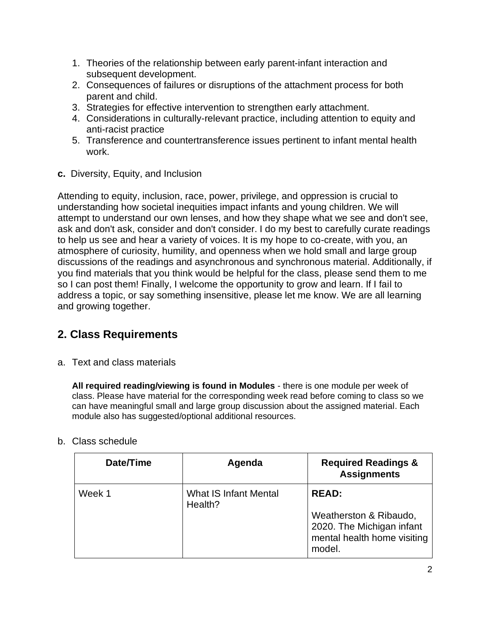- 1. Theories of the relationship between early parent-infant interaction and subsequent development.
- 2. Consequences of failures or disruptions of the attachment process for both parent and child.
- 3. Strategies for effective intervention to strengthen early attachment.
- 4. Considerations in culturally-relevant practice, including attention to equity and anti-racist practice
- 5. Transference and countertransference issues pertinent to infant mental health work.
- **c.** Diversity, Equity, and Inclusion

Attending to equity, inclusion, race, power, privilege, and oppression is crucial to understanding how societal inequities impact infants and young children. We will attempt to understand our own lenses, and how they shape what we see and don't see, ask and don't ask, consider and don't consider. I do my best to carefully curate readings to help us see and hear a variety of voices. It is my hope to co-create, with you, an atmosphere of curiosity, humility, and openness when we hold small and large group discussions of the readings and asynchronous and synchronous material. Additionally, if you find materials that you think would be helpful for the class, please send them to me so I can post them! Finally, I welcome the opportunity to grow and learn. If I fail to address a topic, or say something insensitive, please let me know. We are all learning and growing together.

# **2. Class Requirements**

a. Text and class materials

**All required reading/viewing is found in Modules** - there is one module per week of class. Please have material for the corresponding week read before coming to class so we can have meaningful small and large group discussion about the assigned material. Each module also has suggested/optional additional resources.

## **Date/Time**  $\vert$  **Agenda**  $\vert$  **Required Readings & Assignments** Week 1 What IS Infant Mental Health? **READ:** Weatherston & Ribaudo, 2020. The Michigan infant mental health home visiting model.

#### b. Class schedule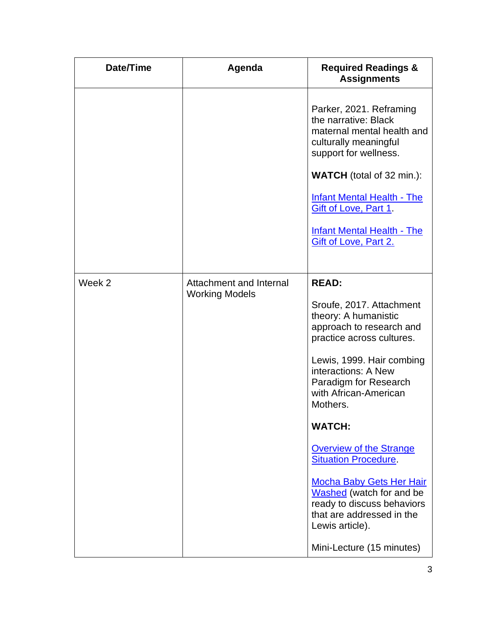| Date/Time | Agenda                                           | <b>Required Readings &amp;</b><br><b>Assignments</b>                                                                                                                                                                                                                                                                                                                                                                                                                       |
|-----------|--------------------------------------------------|----------------------------------------------------------------------------------------------------------------------------------------------------------------------------------------------------------------------------------------------------------------------------------------------------------------------------------------------------------------------------------------------------------------------------------------------------------------------------|
|           |                                                  | Parker, 2021. Reframing<br>the narrative: Black<br>maternal mental health and<br>culturally meaningful<br>support for wellness.<br><b>WATCH</b> (total of 32 min.):                                                                                                                                                                                                                                                                                                        |
|           |                                                  | <b>Infant Mental Health - The</b><br>Gift of Love, Part 1.                                                                                                                                                                                                                                                                                                                                                                                                                 |
|           |                                                  | <b>Infant Mental Health - The</b><br>Gift of Love, Part 2.                                                                                                                                                                                                                                                                                                                                                                                                                 |
| Week 2    | Attachment and Internal<br><b>Working Models</b> | <b>READ:</b><br>Sroufe, 2017. Attachment<br>theory: A humanistic<br>approach to research and<br>practice across cultures.<br>Lewis, 1999. Hair combing<br>interactions: A New<br>Paradigm for Research<br>with African-American<br>Mothers.<br><b>WATCH:</b><br><b>Overview of the Strange</b><br><b>Situation Procedure.</b><br><b>Mocha Baby Gets Her Hair</b><br>Washed (watch for and be<br>ready to discuss behaviors<br>that are addressed in the<br>Lewis article). |
|           |                                                  | Mini-Lecture (15 minutes)                                                                                                                                                                                                                                                                                                                                                                                                                                                  |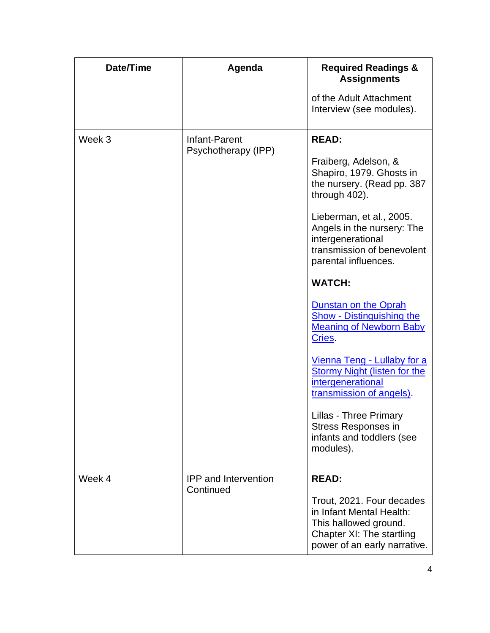| Date/Time | Agenda                                   | <b>Required Readings &amp;</b><br><b>Assignments</b>                                                                                                                                                                                                                                                                                                                                                                                                                                                                                                                                                                        |
|-----------|------------------------------------------|-----------------------------------------------------------------------------------------------------------------------------------------------------------------------------------------------------------------------------------------------------------------------------------------------------------------------------------------------------------------------------------------------------------------------------------------------------------------------------------------------------------------------------------------------------------------------------------------------------------------------------|
|           |                                          | of the Adult Attachment<br>Interview (see modules).                                                                                                                                                                                                                                                                                                                                                                                                                                                                                                                                                                         |
| Week 3    | Infant-Parent<br>Psychotherapy (IPP)     | <b>READ:</b><br>Fraiberg, Adelson, &<br>Shapiro, 1979. Ghosts in<br>the nursery. (Read pp. 387<br>through 402).<br>Lieberman, et al., 2005.<br>Angels in the nursery: The<br>intergenerational<br>transmission of benevolent<br>parental influences.<br><b>WATCH:</b><br><b>Dunstan on the Oprah</b><br><b>Show - Distinguishing the</b><br><b>Meaning of Newborn Baby</b><br>Cries.<br><u>Vienna Teng - Lullaby for a</u><br><b>Stormy Night (listen for the</b><br>intergenerational<br>transmission of angels).<br><b>Lillas - Three Primary</b><br><b>Stress Responses in</b><br>infants and toddlers (see<br>modules). |
| Week 4    | <b>IPP</b> and Intervention<br>Continued | <b>READ:</b><br>Trout, 2021. Four decades<br>in Infant Mental Health:<br>This hallowed ground.<br>Chapter XI: The startling<br>power of an early narrative.                                                                                                                                                                                                                                                                                                                                                                                                                                                                 |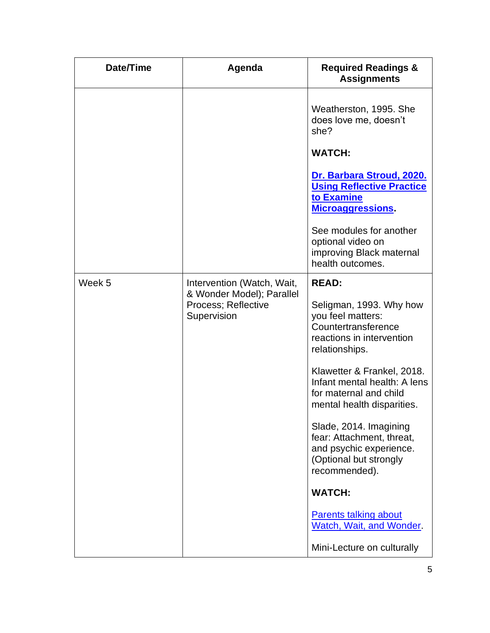| Date/Time | Agenda                                                                                        | <b>Required Readings &amp;</b><br><b>Assignments</b>                                                                                                                                                                                                                                                                                                                                                                                                                                             |
|-----------|-----------------------------------------------------------------------------------------------|--------------------------------------------------------------------------------------------------------------------------------------------------------------------------------------------------------------------------------------------------------------------------------------------------------------------------------------------------------------------------------------------------------------------------------------------------------------------------------------------------|
|           |                                                                                               | Weatherston, 1995. She<br>does love me, doesn't<br>she?<br><b>WATCH:</b>                                                                                                                                                                                                                                                                                                                                                                                                                         |
|           |                                                                                               | Dr. Barbara Stroud, 2020.<br><b>Using Reflective Practice</b><br>to Examine<br><b>Microaggressions.</b><br>See modules for another<br>optional video on<br>improving Black maternal<br>health outcomes.                                                                                                                                                                                                                                                                                          |
| Week 5    | Intervention (Watch, Wait,<br>& Wonder Model); Parallel<br>Process; Reflective<br>Supervision | <b>READ:</b><br>Seligman, 1993. Why how<br>you feel matters:<br>Countertransference<br>reactions in intervention<br>relationships.<br>Klawetter & Frankel, 2018.<br>Infant mental health: A lens<br>for maternal and child<br>mental health disparities.<br>Slade, 2014. Imagining<br>fear: Attachment, threat,<br>and psychic experience.<br>(Optional but strongly<br>recommended).<br><b>WATCH:</b><br><b>Parents talking about</b><br>Watch, Wait, and Wonder.<br>Mini-Lecture on culturally |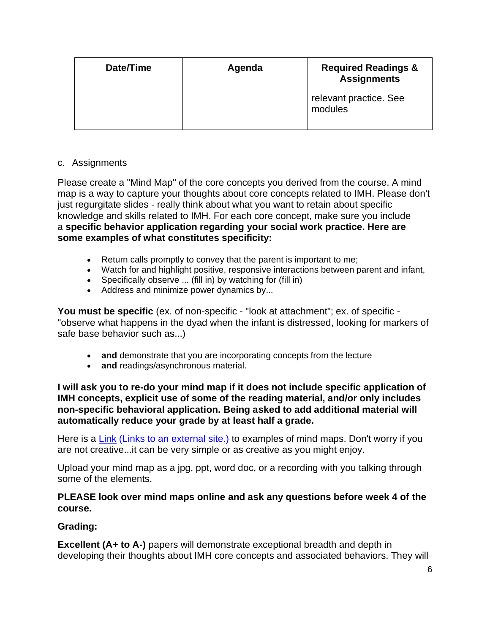| Date/Time | Agenda | <b>Required Readings &amp;</b><br><b>Assignments</b> |
|-----------|--------|------------------------------------------------------|
|           |        | relevant practice. See<br>modules                    |

#### c. Assignments

Please create a "Mind Map" of the core concepts you derived from the course. A mind map is a way to capture your thoughts about core concepts related to IMH. Please don't just regurgitate slides - really think about what you want to retain about specific knowledge and skills related to IMH. For each core concept, make sure you include a **specific behavior application regarding your social work practice. Here are some examples of what constitutes specificity:**

- Return calls promptly to convey that the parent is important to me;
- Watch for and highlight positive, responsive interactions between parent and infant,
- Specifically observe ... (fill in) by watching for (fill in)
- Address and minimize power dynamics by...

**You must be specific** (ex. of non-specific - "look at attachment"; ex. of specific - "observe what happens in the dyad when the infant is distressed, looking for markers of safe base behavior such as...)

- **and** demonstrate that you are incorporating concepts from the lecture
- **and** readings/asynchronous material.

**I will ask you to re-do your mind map if it does not include specific application of IMH concepts, explicit use of some of the reading material, and/or only includes non-specific behavioral application. Being asked to add additional material will automatically reduce your grade by at least half a grade.**

Here is a Link (Links to an [external](https://mindmapsunleashed.com/10-really-cool-mind-mapping-examples-you-will-learn-from) site.) to examples of mind maps. Don't worry if you are not creative...it can be very simple or as creative as you might enjoy.

Upload your mind map as a jpg, ppt, word doc, or a recording with you talking through some of the elements.

#### **PLEASE look over mind maps online and ask any questions before week 4 of the course.**

#### **Grading:**

**Excellent (A+ to A-)** papers will demonstrate exceptional breadth and depth in developing their thoughts about IMH core concepts and associated behaviors. They will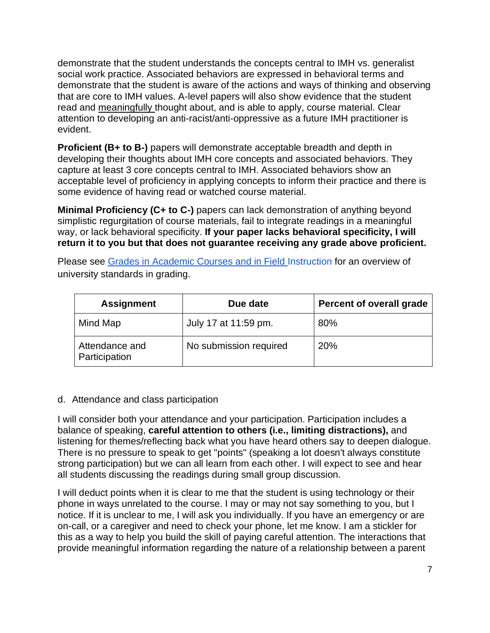demonstrate that the student understands the concepts central to IMH vs. generalist social work practice. Associated behaviors are expressed in behavioral terms and demonstrate that the student is aware of the actions and ways of thinking and observing that are core to IMH values. A-level papers will also show evidence that the student read and meaningfully thought about, and is able to apply, course material. Clear attention to developing an anti-racist/anti-oppressive as a future IMH practitioner is evident.

**Proficient (B+ to B-)** papers will demonstrate acceptable breadth and depth in developing their thoughts about IMH core concepts and associated behaviors. They capture at least 3 core concepts central to IMH. Associated behaviors show an acceptable level of proficiency in applying concepts to inform their practice and there is some evidence of having read or watched course material.

**Minimal Proficiency (C+ to C-)** papers can lack demonstration of anything beyond simplistic regurgitation of course materials, fail to integrate readings in a meaningful way, or lack behavioral specificity. **If your paper lacks behavioral specificity, I will return it to you but that does not guarantee receiving any grade above proficient.**

Please see [Grades in Academic Courses and in Field Instruction](http://ssw.umich.edu/msw-student-guide/chapter/1.08/grades-in-academic-courses-and-in-field-instruction) for an overview of university standards in grading.

| <b>Assignment</b>               | Due date               | Percent of overall grade |
|---------------------------------|------------------------|--------------------------|
| Mind Map                        | July 17 at 11:59 pm.   | 80%                      |
| Attendance and<br>Participation | No submission required | 20%                      |

#### d. Attendance and class participation

I will consider both your attendance and your participation. Participation includes a balance of speaking, **careful attention to others (i.e., limiting distractions),** and listening for themes/reflecting back what you have heard others say to deepen dialogue. There is no pressure to speak to get "points" (speaking a lot doesn't always constitute strong participation) but we can all learn from each other. I will expect to see and hear all students discussing the readings during small group discussion.

I will deduct points when it is clear to me that the student is using technology or their phone in ways unrelated to the course. I may or may not say something to you, but I notice. If it is unclear to me, I will ask you individually. If you have an emergency or are on-call, or a caregiver and need to check your phone, let me know. I am a stickler for this as a way to help you build the skill of paying careful attention. The interactions that provide meaningful information regarding the nature of a relationship between a parent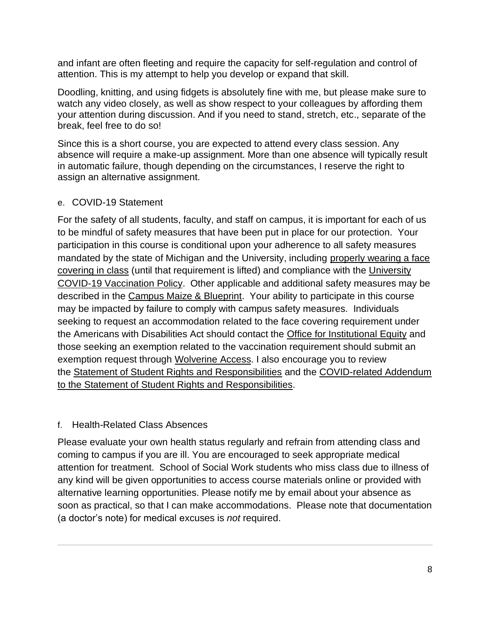and infant are often fleeting and require the capacity for self-regulation and control of attention. This is my attempt to help you develop or expand that skill.

Doodling, knitting, and using fidgets is absolutely fine with me, but please make sure to watch any video closely, as well as show respect to your colleagues by affording them your attention during discussion. And if you need to stand, stretch, etc., separate of the break, feel free to do so!

Since this is a short course, you are expected to attend every class session. Any absence will require a make-up assignment. More than one absence will typically result in automatic failure, though depending on the circumstances, I reserve the right to assign an alternative assignment.

#### e. COVID-19 Statement

For the safety of all students, faculty, and staff on campus, it is important for each of us to be mindful of safety measures that have been put in place for our protection. Your participation in this course is conditional upon your adherence to all safety measures mandated by the state of Michigan and the University, including properly wearing a face [covering in class](https://ehs.umich.edu/wp-content/uploads/2020/07/U-M-Face-Covering-Policy-for-COVID-19.pdf) (until that requirement is lifted) and compliance with the [University](https://ehs.umich.edu/wp-content/uploads/2021/07/COVID-19_Vaccination_Policy.pdf)  [COVID-19 Vaccination Policy.](https://ehs.umich.edu/wp-content/uploads/2021/07/COVID-19_Vaccination_Policy.pdf) Other applicable and additional safety measures may be described in the [Campus Maize & Blueprint.](https://campusblueprint.umich.edu/students) Your ability to participate in this course may be impacted by failure to comply with campus safety measures. Individuals seeking to request an accommodation related to the face covering requirement under the Americans with Disabilities Act should contact the [Office for Institutional Equity](https://oie.umich.edu/american-with-disabilities-act-ada/) and those seeking an exemption related to the vaccination requirement should submit an exemption request through [Wolverine](https://wolverineaccess.umich.edu/collection/all/covid-19) Access. I also encourage you to review the [Statement of Student Rights and Responsibilities](https://oscr.umich.edu/statement#1) and the [COVID-related Addendum](https://oscr.umich.edu/sites/oscr.umich.edu/files/2020_statement_addendum_final_approved.pdf)  [to the Statement of Student Rights and Responsibilities.](https://oscr.umich.edu/sites/oscr.umich.edu/files/2020_statement_addendum_final_approved.pdf)

### f. Health-Related Class Absences

Please evaluate your own health status regularly and refrain from attending class and coming to campus if you are ill. You are encouraged to seek appropriate medical attention for treatment. School of Social Work students who miss class due to illness of any kind will be given opportunities to access course materials online or provided with alternative learning opportunities. Please notify me by email about your absence as soon as practical, so that I can make accommodations. Please note that documentation (a doctor's note) for medical excuses is *not* required.